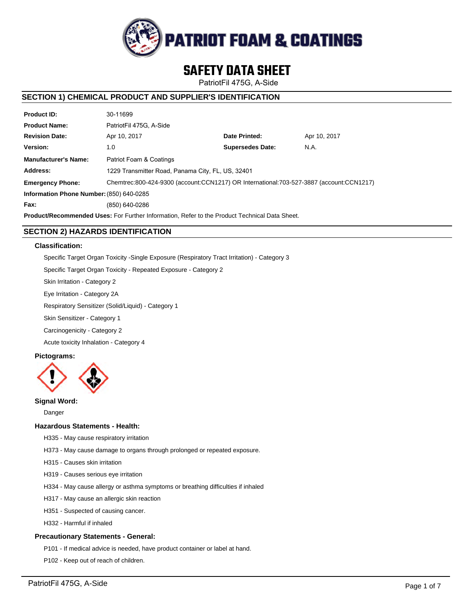

# **SAFETY DATA SHEET**

PatriotFil 475G, A-Side

# **SECTION 1) CHEMICAL PRODUCT AND SUPPLIER'S IDENTIFICATION**

| <b>Product ID:</b>                                                                                                 | 30-11699                                          |                         |              |  |  |  |
|--------------------------------------------------------------------------------------------------------------------|---------------------------------------------------|-------------------------|--------------|--|--|--|
| <b>Product Name:</b>                                                                                               | PatriotFil 475G. A-Side                           |                         |              |  |  |  |
| <b>Revision Date:</b>                                                                                              | Apr 10, 2017                                      | Date Printed:           | Apr 10, 2017 |  |  |  |
| Version:                                                                                                           | 1.0                                               | <b>Supersedes Date:</b> | N.A.         |  |  |  |
| <b>Manufacturer's Name:</b>                                                                                        | Patriot Foam & Coatings                           |                         |              |  |  |  |
| Address:                                                                                                           | 1229 Transmitter Road, Panama City, FL, US, 32401 |                         |              |  |  |  |
| Chemtrec:800-424-9300 (account:CCN1217) OR International:703-527-3887 (account:CCN1217)<br><b>Emergency Phone:</b> |                                                   |                         |              |  |  |  |
| Information Phone Number: (850) 640-0285                                                                           |                                                   |                         |              |  |  |  |
| Fax:                                                                                                               | (850) 640-0286                                    |                         |              |  |  |  |
| <b>Product/Recommended Uses:</b> For Further Information, Refer to the Product Technical Data Sheet.               |                                                   |                         |              |  |  |  |

# **SECTION 2) HAZARDS IDENTIFICATION**

### **Classification:**

Specific Target Organ Toxicity -Single Exposure (Respiratory Tract Irritation) - Category 3

Specific Target Organ Toxicity - Repeated Exposure - Category 2

Skin Irritation - Category 2

Eye Irritation - Category 2A

Respiratory Sensitizer (Solid/Liquid) - Category 1

Skin Sensitizer - Category 1

Carcinogenicity - Category 2

Acute toxicity Inhalation - Category 4

### **Pictograms:**



### **Signal Word:**

Danger

### **Hazardous Statements - Health:**

H335 - May cause respiratory irritation

H373 - May cause damage to organs through prolonged or repeated exposure.

H315 - Causes skin irritation

H319 - Causes serious eye irritation

H334 - May cause allergy or asthma symptoms or breathing difficulties if inhaled

H317 - May cause an allergic skin reaction

H351 - Suspected of causing cancer.

H332 - Harmful if inhaled

### **Precautionary Statements - General:**

P101 - If medical advice is needed, have product container or label at hand.

P102 - Keep out of reach of children.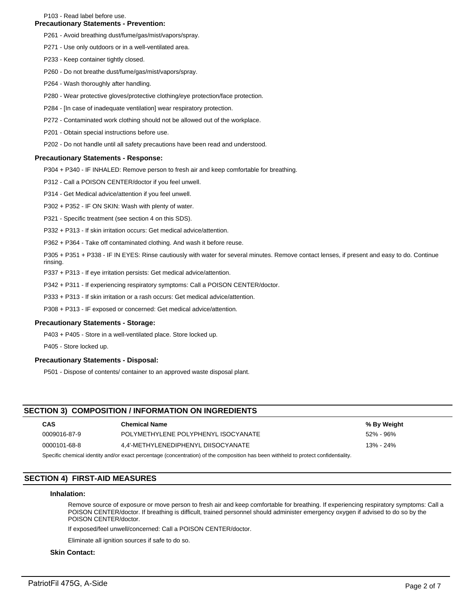#### P103 - Read label before use.

### **Precautionary Statements - Prevention:**

- P261 Avoid breathing dust/fume/gas/mist/vapors/spray.
- P271 Use only outdoors or in a well-ventilated area.
- P233 Keep container tightly closed.
- P260 Do not breathe dust/fume/gas/mist/vapors/spray.
- P264 Wash thoroughly after handling.
- P280 Wear protective gloves/protective clothing/eye protection/face protection.
- P284 [In case of inadequate ventilation] wear respiratory protection.
- P272 Contaminated work clothing should not be allowed out of the workplace.
- P201 Obtain special instructions before use.
- P202 Do not handle until all safety precautions have been read and understood.

#### **Precautionary Statements - Response:**

P304 + P340 - IF INHALED: Remove person to fresh air and keep comfortable for breathing.

- P312 Call a POISON CENTER/doctor if you feel unwell.
- P314 Get Medical advice/attention if you feel unwell.
- P302 + P352 IF ON SKIN: Wash with plenty of water.
- P321 Specific treatment (see section 4 on this SDS).
- P332 + P313 If skin irritation occurs: Get medical advice/attention.
- P362 + P364 Take off contaminated clothing. And wash it before reuse.

P305 + P351 + P338 - IF IN EYES: Rinse cautiously with water for several minutes. Remove contact lenses, if present and easy to do. Continue rinsing.

P337 + P313 - If eye irritation persists: Get medical advice/attention.

P342 + P311 - If experiencing respiratory symptoms: Call a POISON CENTER/doctor.

P333 + P313 - If skin irritation or a rash occurs: Get medical advice/attention.

P308 + P313 - IF exposed or concerned: Get medical advice/attention.

#### **Precautionary Statements - Storage:**

P403 + P405 - Store in a well-ventilated place. Store locked up.

P405 - Store locked up.

#### **Precautionary Statements - Disposal:**

P501 - Dispose of contents/ container to an approved waste disposal plant.

### **SECTION 3) COMPOSITION / INFORMATION ON INGREDIENTS**

| CAS          | <b>Chemical Name</b>                | % By Weight |
|--------------|-------------------------------------|-------------|
| 0009016-87-9 | POLYMETHYLENE POLYPHENYL ISOCYANATE | 52% - 96%   |
| 0000101-68-8 | 4.4'-METHYLENEDIPHENYL DIISOCYANATE | 13% - 24%   |
|              |                                     |             |

Specific chemical identity and/or exact percentage (concentration) of the composition has been withheld to protect confidentiality.

## **SECTION 4) FIRST-AID MEASURES**

#### **Inhalation:**

Remove source of exposure or move person to fresh air and keep comfortable for breathing. If experiencing respiratory symptoms: Call a POISON CENTER/doctor. If breathing is difficult, trained personnel should administer emergency oxygen if advised to do so by the POISON CENTER/doctor.

If exposed/feel unwell/concerned: Call a POISON CENTER/doctor.

Eliminate all ignition sources if safe to do so.

#### **Skin Contact:**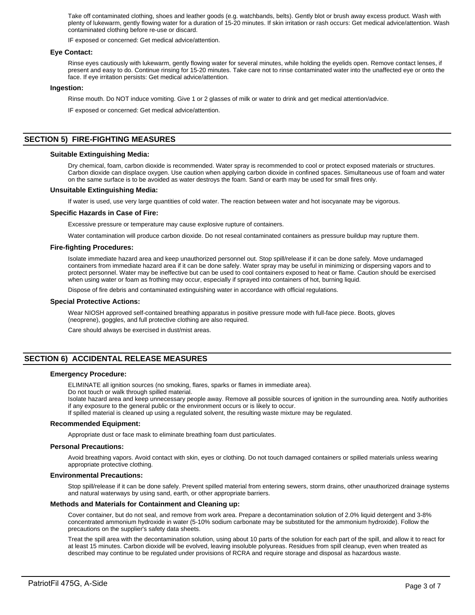Take off contaminated clothing, shoes and leather goods (e.g. watchbands, belts). Gently blot or brush away excess product. Wash with plenty of lukewarm, gently flowing water for a duration of 15-20 minutes. If skin irritation or rash occurs: Get medical advice/attention. Wash contaminated clothing before re-use or discard.

IF exposed or concerned: Get medical advice/attention.

### **Eye Contact:**

Rinse eyes cautiously with lukewarm, gently flowing water for several minutes, while holding the eyelids open. Remove contact lenses, if present and easy to do. Continue rinsing for 15-20 minutes. Take care not to rinse contaminated water into the unaffected eye or onto the face. If eye irritation persists: Get medical advice/attention.

#### **Ingestion:**

Rinse mouth. Do NOT induce vomiting. Give 1 or 2 glasses of milk or water to drink and get medical attention/advice.

IF exposed or concerned: Get medical advice/attention.

### **SECTION 5) FIRE-FIGHTING MEASURES**

#### **Suitable Extinguishing Media:**

Dry chemical, foam, carbon dioxide is recommended. Water spray is recommended to cool or protect exposed materials or structures. Carbon dioxide can displace oxygen. Use caution when applying carbon dioxide in confined spaces. Simultaneous use of foam and water on the same surface is to be avoided as water destroys the foam. Sand or earth may be used for small fires only.

#### **Unsuitable Extinguishing Media:**

If water is used, use very large quantities of cold water. The reaction between water and hot isocyanate may be vigorous.

#### **Specific Hazards in Case of Fire:**

Excessive pressure or temperature may cause explosive rupture of containers.

Water contamination will produce carbon dioxide. Do not reseal contaminated containers as pressure buildup may rupture them.

#### **Fire-fighting Procedures:**

Isolate immediate hazard area and keep unauthorized personnel out. Stop spill/release if it can be done safely. Move undamaged containers from immediate hazard area if it can be done safely. Water spray may be useful in minimizing or dispersing vapors and to protect personnel. Water may be ineffective but can be used to cool containers exposed to heat or flame. Caution should be exercised when using water or foam as frothing may occur, especially if sprayed into containers of hot, burning liquid.

Dispose of fire debris and contaminated extinguishing water in accordance with official regulations.

#### **Special Protective Actions:**

Wear NIOSH approved self-contained breathing apparatus in positive pressure mode with full-face piece. Boots, gloves (neoprene), goggles, and full protective clothing are also required.

Care should always be exercised in dust/mist areas.

### **SECTION 6) ACCIDENTAL RELEASE MEASURES**

#### **Emergency Procedure:**

ELIMINATE all ignition sources (no smoking, flares, sparks or flames in immediate area).

Do not touch or walk through spilled material.

Isolate hazard area and keep unnecessary people away. Remove all possible sources of ignition in the surrounding area. Notify authorities if any exposure to the general public or the environment occurs or is likely to occur.

If spilled material is cleaned up using a regulated solvent, the resulting waste mixture may be regulated.

#### **Recommended Equipment:**

Appropriate dust or face mask to eliminate breathing foam dust particulates.

#### **Personal Precautions:**

Avoid breathing vapors. Avoid contact with skin, eyes or clothing. Do not touch damaged containers or spilled materials unless wearing appropriate protective clothing.

#### **Environmental Precautions:**

Stop spill/release if it can be done safely. Prevent spilled material from entering sewers, storm drains, other unauthorized drainage systems and natural waterways by using sand, earth, or other appropriate barriers.

#### **Methods and Materials for Containment and Cleaning up:**

Cover container, but do not seal, and remove from work area. Prepare a decontamination solution of 2.0% liquid detergent and 3-8% concentrated ammonium hydroxide in water (5-10% sodium carbonate may be substituted for the ammonium hydroxide). Follow the precautions on the supplier's safety data sheets.

Treat the spill area with the decontamination solution, using about 10 parts of the solution for each part of the spill, and allow it to react for at least 15 minutes. Carbon dioxide will be evolved, leaving insoluble polyureas. Residues from spill cleanup, even when treated as described may continue to be regulated under provisions of RCRA and require storage and disposal as hazardous waste.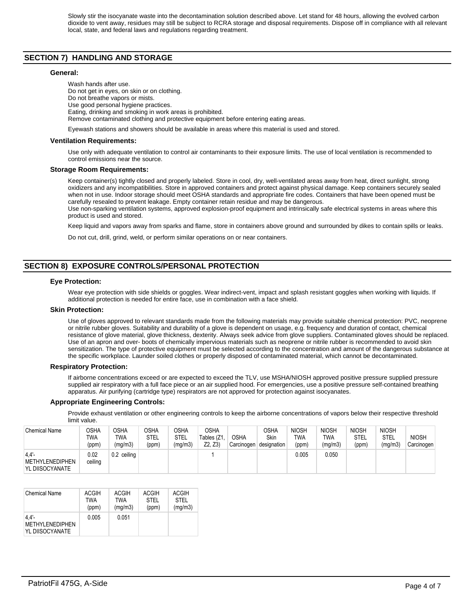Slowly stir the isocyanate waste into the decontamination solution described above. Let stand for 48 hours, allowing the evolved carbon dioxide to vent away, residues may still be subject to RCRA storage and disposal requirements. Dispose off in compliance with all relevant local, state, and federal laws and regulations regarding treatment.

# **SECTION 7) HANDLING AND STORAGE**

### **General:**

Wash hands after use. Do not get in eyes, on skin or on clothing. Do not breathe vapors or mists. Use good personal hygiene practices. Eating, drinking and smoking in work areas is prohibited. Remove contaminated clothing and protective equipment before entering eating areas.

Eyewash stations and showers should be available in areas where this material is used and stored.

#### **Ventilation Requirements:**

Use only with adequate ventilation to control air contaminants to their exposure limits. The use of local ventilation is recommended to control emissions near the source.

### **Storage Room Requirements:**

Keep container(s) tightly closed and properly labeled. Store in cool, dry, well-ventilated areas away from heat, direct sunlight, strong oxidizers and any incompatibilities. Store in approved containers and protect against physical damage. Keep containers securely sealed when not in use. Indoor storage should meet OSHA standards and appropriate fire codes. Containers that have been opened must be carefully resealed to prevent leakage. Empty container retain residue and may be dangerous. Use non-sparking ventilation systems, approved explosion-proof equipment and intrinsically safe electrical systems in areas where this product is used and stored.

Keep liquid and vapors away from sparks and flame, store in containers above ground and surrounded by dikes to contain spills or leaks.

Do not cut, drill, grind, weld, or perform similar operations on or near containers.

# **SECTION 8) EXPOSURE CONTROLS/PERSONAL PROTECTION**

### **Eye Protection:**

Wear eye protection with side shields or goggles. Wear indirect-vent, impact and splash resistant goggles when working with liquids. If additional protection is needed for entire face, use in combination with a face shield.

#### **Skin Protection:**

Use of gloves approved to relevant standards made from the following materials may provide suitable chemical protection: PVC, neoprene or nitrile rubber gloves. Suitability and durability of a glove is dependent on usage, e.g. frequency and duration of contact, chemical resistance of glove material, glove thickness, dexterity. Always seek advice from glove suppliers. Contaminated gloves should be replaced. Use of an apron and over- boots of chemically impervious materials such as neoprene or nitrile rubber is recommended to avoid skin sensitization. The type of protective equipment must be selected according to the concentration and amount of the dangerous substance at the specific workplace. Launder soiled clothes or properly disposed of contaminated material, which cannot be decontaminated.

#### **Respiratory Protection:**

If airborne concentrations exceed or are expected to exceed the TLV, use MSHA/NIOSH approved positive pressure supplied pressure supplied air respiratory with a full face piece or an air supplied hood. For emergencies, use a positive pressure self-contained breathing apparatus. Air purifying (cartridge type) respirators are not approved for protection against isocyanates.

### **Appropriate Engineering Controls:**

Provide exhaust ventilation or other engineering controls to keep the airborne concentrations of vapors below their respective threshold limit value.

| <b>Chemical Name</b>                       | OSHA<br>TWA<br>(ppm) | <b>OSHA</b><br>TWA<br>(mg/m3) | <b>OSHA</b><br>STEL<br>(ppm) | OSHA<br>STEL<br>(mg/m3) | OSHA<br>Tables (Z1<br>Z2, Z3) | <b>OSHA</b><br>Carcinogen | OSHA<br>Skin<br>designation | NIOSH<br><b>TWA</b><br>(ppm) | <b>NIOSH</b><br><b>TWA</b><br>(mg/m3) | <b>NIOSH</b><br>STEL<br>(ppm) | <b>NIOSH</b><br>STEL<br>(mg/m3) | <b>NIOSH</b><br>Carcinogen |
|--------------------------------------------|----------------------|-------------------------------|------------------------------|-------------------------|-------------------------------|---------------------------|-----------------------------|------------------------------|---------------------------------------|-------------------------------|---------------------------------|----------------------------|
| 4.4'<br>METHYLENEDIPHEN<br>YL DIISOCYANATE | 0.02<br>ceiling      | 0.2<br>ceiling                |                              |                         |                               |                           |                             | 0.005                        | 0.050                                 |                               |                                 |                            |

| <b>Chemical Name</b>                              | ACGIH | ACGIH      | <b>ACGIH</b> | ACGIH       |
|---------------------------------------------------|-------|------------|--------------|-------------|
|                                                   | TWA   | <b>TWA</b> | <b>STFI</b>  | <b>STEL</b> |
|                                                   | (ppm) | (mq/m3)    | (ppm)        | (mg/m3)     |
| 4.4'<br><b>METHYLENEDIPHEN</b><br>YL DIISOCYANATE | 0.005 | 0.051      |              |             |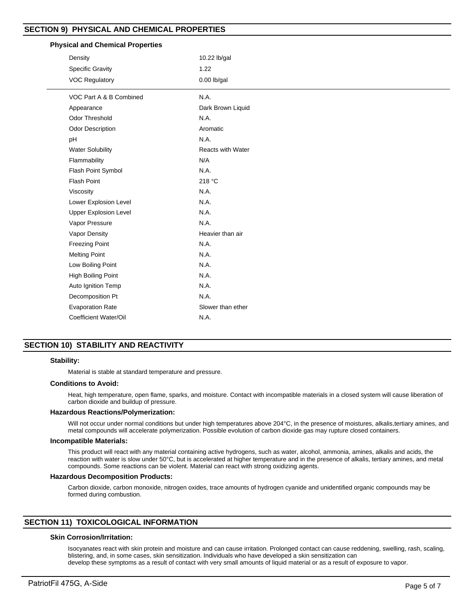# **SECTION 9) PHYSICAL AND CHEMICAL PROPERTIES**

### **Physical and Chemical Properties**

| . , o.ca. and Onomour operou |                          |  |  |  |  |
|------------------------------|--------------------------|--|--|--|--|
| Density                      | 10.22 lb/gal<br>1.22     |  |  |  |  |
| <b>Specific Gravity</b>      |                          |  |  |  |  |
| <b>VOC Regulatory</b>        | $0.00$ lb/gal            |  |  |  |  |
| VOC Part A & B Combined      | N.A.                     |  |  |  |  |
| Appearance                   | Dark Brown Liquid        |  |  |  |  |
| <b>Odor Threshold</b>        | N.A.                     |  |  |  |  |
| <b>Odor Description</b>      | Aromatic                 |  |  |  |  |
| pH                           | N.A.                     |  |  |  |  |
| <b>Water Solubility</b>      | <b>Reacts with Water</b> |  |  |  |  |
| Flammability                 | N/A                      |  |  |  |  |
| Flash Point Symbol           | N.A.                     |  |  |  |  |
| <b>Flash Point</b>           | 218 °C                   |  |  |  |  |
| Viscosity                    | N.A.                     |  |  |  |  |
| Lower Explosion Level        | N.A.                     |  |  |  |  |
| <b>Upper Explosion Level</b> | N.A.                     |  |  |  |  |
| Vapor Pressure               | N.A.                     |  |  |  |  |
| Vapor Density                | Heavier than air         |  |  |  |  |
| <b>Freezing Point</b>        | N.A.                     |  |  |  |  |
| <b>Melting Point</b>         | N.A.                     |  |  |  |  |
| Low Boiling Point            | N.A.                     |  |  |  |  |
| <b>High Boiling Point</b>    | N.A.                     |  |  |  |  |
| Auto Ignition Temp           | N.A.                     |  |  |  |  |
| Decomposition Pt             | N.A.                     |  |  |  |  |
| <b>Evaporation Rate</b>      | Slower than ether        |  |  |  |  |
| Coefficient Water/Oil        | N.A.                     |  |  |  |  |

# **SECTION 10) STABILITY AND REACTIVITY**

#### **Stability:**

Material is stable at standard temperature and pressure.

### **Conditions to Avoid:**

Heat, high temperature, open flame, sparks, and moisture. Contact with incompatible materials in a closed system will cause liberation of carbon dioxide and buildup of pressure.

#### **Hazardous Reactions/Polymerization:**

Will not occur under normal conditions but under high temperatures above 204°C, in the presence of moistures, alkalis,tertiary amines, and metal compounds will accelerate polymerization. Possible evolution of carbon dioxide gas may rupture closed containers.

### **Incompatible Materials:**

This product will react with any material containing active hydrogens, such as water, alcohol, ammonia, amines, alkalis and acids, the reaction with water is slow under 50°C, but is accelerated at higher temperature and in the presence of alkalis, tertiary amines, and metal compounds. Some reactions can be violent. Material can react with strong oxidizing agents.

### **Hazardous Decomposition Products:**

Carbon dioxide, carbon monoxide, nitrogen oxides, trace amounts of hydrogen cyanide and unidentified organic compounds may be formed during combustion.

# **SECTION 11) TOXICOLOGICAL INFORMATION**

### **Skin Corrosion/Irritation:**

Isocyanates react with skin protein and moisture and can cause irritation. Prolonged contact can cause reddening, swelling, rash, scaling, blistering, and, in some cases, skin sensitization. Individuals who have developed a skin sensitization can develop these symptoms as a result of contact with very small amounts of liquid material or as a result of exposure to vapor.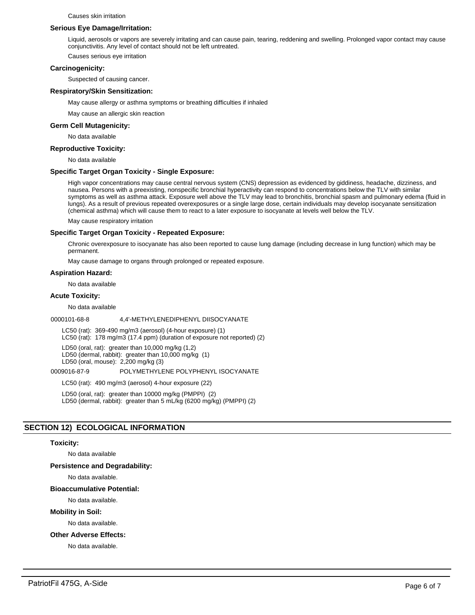Causes skin irritation

#### **Serious Eye Damage/Irritation:**

Liquid, aerosols or vapors are severely irritating and can cause pain, tearing, reddening and swelling. Prolonged vapor contact may cause conjunctivitis. Any level of contact should not be left untreated.

Causes serious eye irritation

### **Carcinogenicity:**

Suspected of causing cancer.

### **Respiratory/Skin Sensitization:**

May cause allergy or asthma symptoms or breathing difficulties if inhaled

May cause an allergic skin reaction

#### **Germ Cell Mutagenicity:**

No data available

### **Reproductive Toxicity:**

No data available

### **Specific Target Organ Toxicity - Single Exposure:**

High vapor concentrations may cause central nervous system (CNS) depression as evidenced by giddiness, headache, dizziness, and nausea. Persons with a preexisting, nonspecific bronchial hyperactivity can respond to concentrations below the TLV with similar symptoms as well as asthma attack. Exposure well above the TLV may lead to bronchitis, bronchial spasm and pulmonary edema (fluid in lungs). As a result of previous repeated overexposures or a single large dose, certain individuals may develop isocyanate sensitization (chemical asthma) which will cause them to react to a later exposure to isocyanate at levels well below the TLV.

May cause respiratory irritation

### **Specific Target Organ Toxicity - Repeated Exposure:**

Chronic overexposure to isocyanate has also been reported to cause lung damage (including decrease in lung function) which may be permanent.

May cause damage to organs through prolonged or repeated exposure.

#### **Aspiration Hazard:**

No data available

### **Acute Toxicity:**

No data available

0000101-68-8 4,4'-METHYLENEDIPHENYL DIISOCYANATE

LC50 (rat): 369-490 mg/m3 (aerosol) (4-hour exposure) (1) LC50 (rat): 178 mg/m3 (17.4 ppm) (duration of exposure not reported) (2)

LD50 (oral, rat): greater than 10,000 mg/kg (1,2) LD50 (dermal, rabbit): greater than 10,000 mg/kg (1) LD50 (oral, mouse): 2,200 mg/kg (3)

0009016-87-9 POLYMETHYLENE POLYPHENYL ISOCYANATE

LC50 (rat): 490 mg/m3 (aerosol) 4-hour exposure (22)

LD50 (oral, rat): greater than 10000 mg/kg (PMPPI) (2) LD50 (dermal, rabbit): greater than 5 mL/kg (6200 mg/kg) (PMPPI) (2)

# **SECTION 12) ECOLOGICAL INFORMATION**

### **Toxicity:**

No data available

### **Persistence and Degradability:**

No data available.

#### **Bioaccumulative Potential:**

No data available.

### **Mobility in Soil:**

No data available.

#### **Other Adverse Effects:**

No data available.